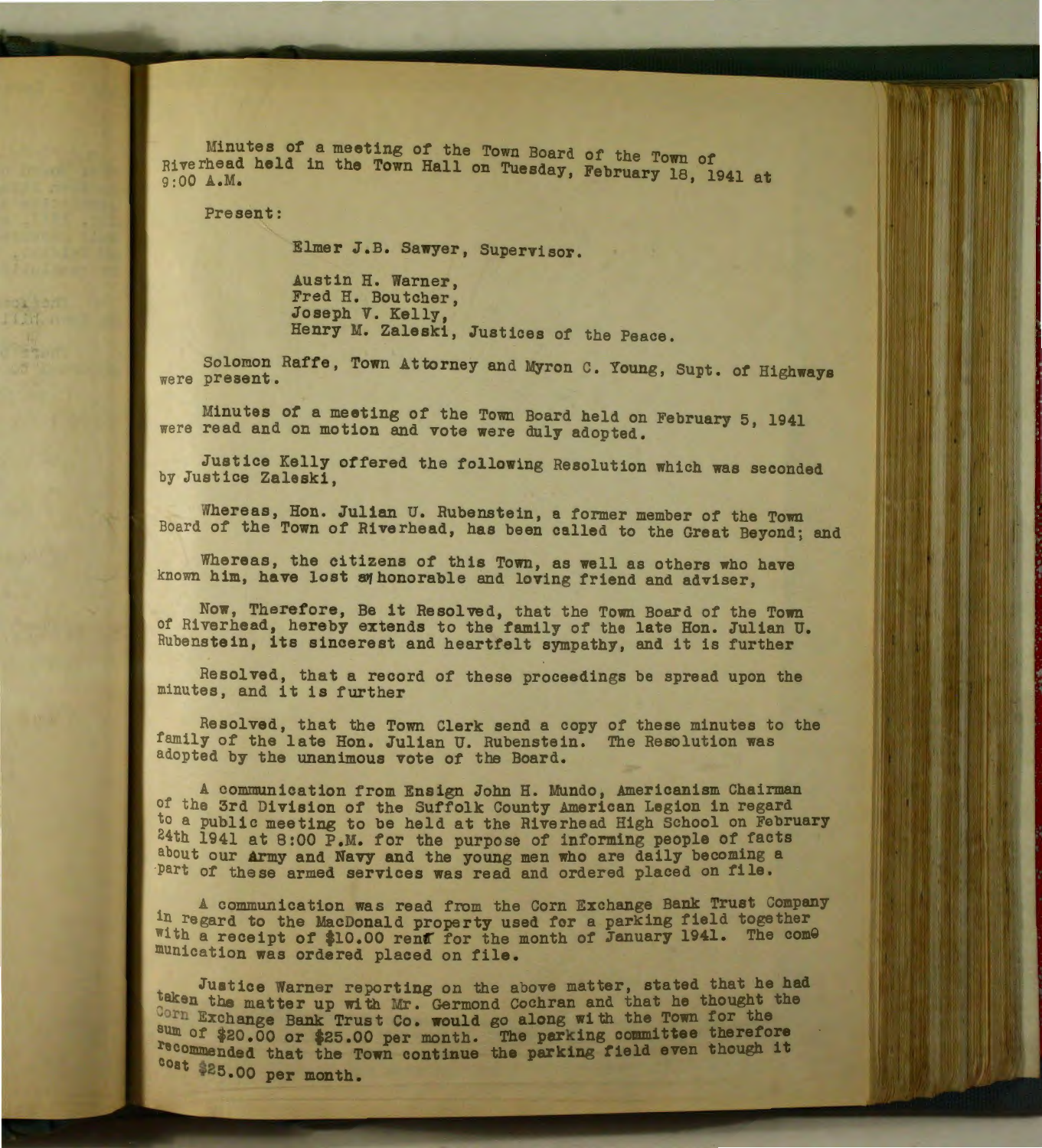Hinutes of a meeting of the Town Board of the Town of Riverhead held in the Town Hall on Tuesday, February 18, 1941 at 9:00A.M.

Present:

Elmer J.B. Sawyer, Supervisor.

Austin H. Warner, Fred H. Boutcher, Joseph V. Kelly, Henry M. Zaleski, Justices of the Peace.

Solomon Raffe, Town Attorney and Myron c. Young, Supt. of Highways were present.

Minutes of a meeting of the Town Board held on February 5, 1941 were read and on motion and vote were duly adopted.

Justice Kelly offered the following Resolution which was seconded by Justice Zaleski,

Whereas, Hon. Julian U. Rubenstein, a former member of the Town Board of the Town of Riverhead, has been called to the Great Beyond; and

Whereas, the citizens of this Town, as well as others who have known him, have lost sy honorable and loving friend and adviser,

Now, Therefore, Be it Resolved, that the Town Board of the Town of Rive rhead, hereby extends to the family of the late Hon. Julian U. Rubenstein, its sincerest and heartfelt sympathy, and it is further

Resolved, that a record of these proceedings be spread upon the minutes, and it is further

Resolved, that the Town Clerk send a copy of these minutes to the family of the late Hon. Julian U. Rubenstein. The Resolution was adopted by the unanimous vote of the Board.

A communication from Ensign John H. Mundo, Americanism Chairman of the 3rd Jivision of the Suffolk County American Legion in regard to a public meeting to be held at the Riverhead High School on February 24th 1941 at 8:00 P.M. for the purpose of informing people of facts about our army and Navy and the young men who are daily becoming a part of these armed services was read and ordered placed on file.

A communication was read from the Corn Exchange Bank Trust Company in regard to the MacDonald property used for a parking field together with a receipt of \$10.00 rent for the month of January 1941. The come munication was ordered placed on file.

Justice Warner reporting on the above matter, stated that he had taken the matter up with Mr. Germond Cochran and that he thought the Corn Exchange Bank Trust Co. would go along with the Town for the sum of \$20.00 or \$25.00 per month. The parking committee therefore recommended that the Town continue the parking field even though it cost \$25.00 per month.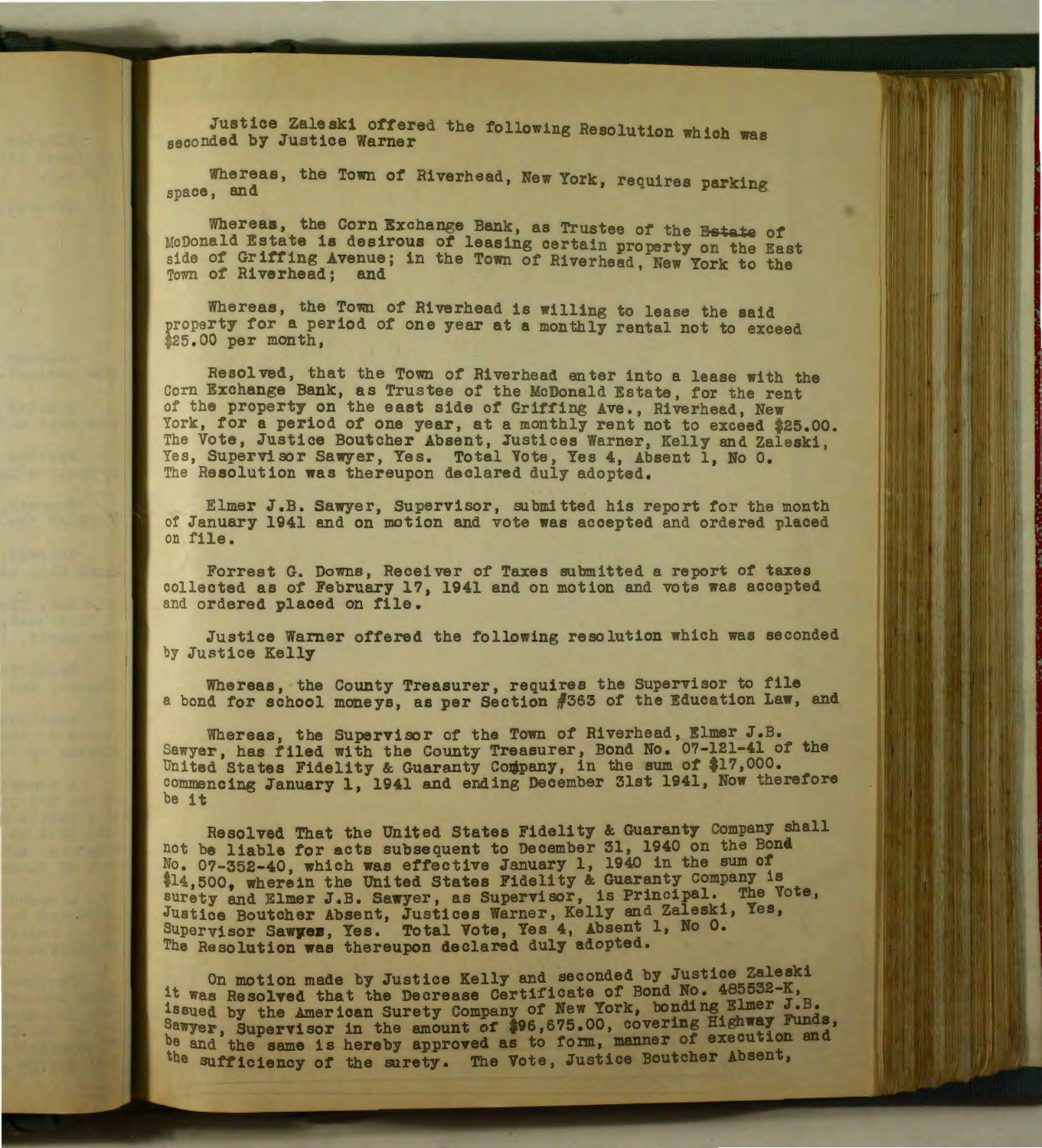Justice Zaleski offered the following Resolution which was seconded by Justice Warner and reflexing Resolution which

Whereas, the Town of Riverhead, New York, requires parking

Whereas, the Corn Exchange Bank, as Trustee of the Estate of McDonald Estate is desirous of leasing certain property on the East side of Griffing Avenue; in the Town of Riverhead, New York to the Town of Riverhead; and the four of hiverhead, New fork to the

Whereas, the Town of Riverhead is willing to lease the said property for a period of one year at a monthly rental not to exceed \$25.00 per month.

Resolved, that the Town of Riverhead enter into a lease with the Corn Exchange Bank, as Trustee of the McDonald Estate, for the rent of the property on the east side of Griffing Ave., Riverhead, New York, for a period of one year, at a monthly rent not to exceed \$25.00. The Vote, Justice Boutcher Absent, Justices Warner, Kelly and Zaleski, Yes, Supervisor Sawyer, Yes. Total Vote, Yes 4, Absent 1, No 0. The Resolution was thereupon declared duly adopted.

Elmer J.B. Sawyer, Supervisor, submitted his report for the month of January 1941 and on motion and vote was accepted and ordered placed on file.

Forrest G. Downs, Receiver of Taxes submitted a report of taxes collected as of February 17, 1941 and on motion and vote was accepted and ordered placed on file.

Justice Warner offered the following resolution which was seconded by Justice Kelly

Whereas, the County Treasurer, requires the Supervisor to file a bond for school moneys, as per Section #363 of the Education Law, and

Whereas, the Supervisor of the Town of Riverhead, Elmer J.B. Sawyer, has filed with the County Treasurer, Bond No. 07-121-41 of the United States Fidelity & Guaranty Company, in the sum of \$17,000. commencing January 1, 1941 and ending December 31st 1941, Now therefore be it

Resolved That the United States Fidelity & Guaranty Company shall not be liable for acts subsequent to December 31, 1940 on the Bond No. 0?-352-40, which was effective January 1, 1940 in the sum of \$14,500, wherein the United States Fidelity & Guaranty Company is surety and Elmer J.B. Sawyer, as Supervisor, is Principal. The Vote, Justice Boutcher Absent, Justices Warner, Kelly and Zaleski, Yes, Supervisor Sawyez, Yes. Total Vote, Yes 4, Absent 1, No 0. The Resolution was thereupon declared duly adopted.

On motion made by Justice Kelly and seconded by Justice Zaleski it was Resolved that the Decrease Certificate of Bond No. 485532-K, issued by the American Surety Company of New York, bonding Elmer J.B. Sawyer, Supervisor in the amount of \$96,675.00, covering Highway Funds, be and the same is hereby approved as to form, manner of execution and the sufficiency of the surety. The Vote, Justice Boutcher Absent,